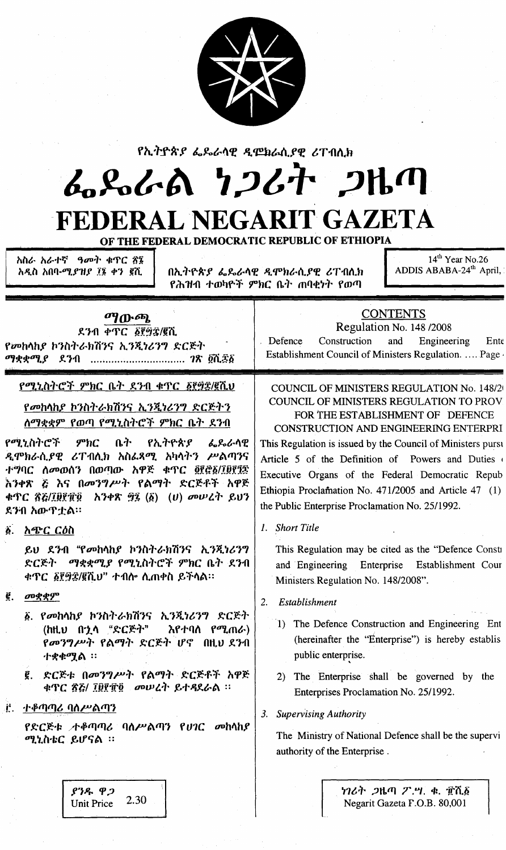

| የኢትዮጵያ ፌዴራሳዊ ዲሞክራሲያዊ ሪፐብሲክ<br>んぺんめ りつびけ つりの<br>FEDERAL NEGARIT GAZETA<br>OF THE FEDERAL DEMOCRATIC REPUBLIC OF ETHIOPIA<br>$14th$ Year No.26<br>አስራ አራተኛ ዓመት ቁጥር ổ፮<br>ADDIS ABABA-24 <sup>th</sup> April,<br>በኢትዮጵያ ፌዴራሳዊ ዲሞክራሲያዊ ሪፐብሲክ<br>አዲስ አበባ-ሚ <i>ያዝያ ፲</i> ፮ ቀን ፪ሺ<br>የሕዝብ ተወካዮች ምክር ቤት ጠባቂነት የወጣ                                                                          |                                                                                                                                                                                                                                                                                                                                                                                                                                                                            |  |  |  |  |  |  |
|------------------------------------------------------------------------------------------------------------------------------------------------------------------------------------------------------------------------------------------------------------------------------------------------------------------------------------------------------------------------------------|----------------------------------------------------------------------------------------------------------------------------------------------------------------------------------------------------------------------------------------------------------------------------------------------------------------------------------------------------------------------------------------------------------------------------------------------------------------------------|--|--|--|--|--|--|
| ማውጫ<br>ደንብ ቀጥር ፩፻፵፰/፪ሺ<br>የመከላከያ ኮንስትራክሽንና ኢንጂነሪንግ ድርጅት<br><i>ማቋቋሚያ ደን</i> ብ <i>ገ</i> ጽ ፪ሺ <i>፷</i> ፩                                                                                                                                                                                                                                                                              | <b>CONTENTS</b><br>Regulation No. 148 /2008<br>Construction<br>Defence<br>and<br>Engineering<br>Ente<br>Establishment Council of Ministers Regulation.  Page                                                                                                                                                                                                                                                                                                               |  |  |  |  |  |  |
| የሚኒስትሮች ምክር ቤት ደንብ ቁጥር ፩፻፵፰/፪ሺህ<br><u>የመከላከያ ኮንስትራክሽንና ኢንጂነሪንግ ድርጅትን</u><br><u>ለማቋቋም የወጣ የሚኒስትሮች ምክር ቤት ደንብ</u><br>የሚኒስትሮች ምክር<br>ቤት የኢትዮጵያ ፌጼራሳዊ<br>ዲሞክራሲያዊ ሪፐብሲክ አስፌጻሚ አካላትን ሥልጣንና<br>ተግባር ለመወሰን በወጣው አዋጅ ቁጥር ፬፻፸፩/፲፱፻፺፰<br>እንቀጽ ሯ እና በመንግሥት የልማት ድርጅቶች አዋጅ<br>ደንብ አውጥቷል።                                                                                                        | <b>COUNCIL OF MINISTERS REGULATION No. 148/20</b><br><b>COUNCIL OF MINISTERS REGULATION TO PROV</b><br>FOR THE ESTABLISHMENT OF DEFENCE<br><b>CONSTRUCTION AND ENGINEERING ENTERPRI</b><br>This Regulation is issued by the Council of Ministers pursu<br>Article 5 of the Definition of Powers and Duties<br>Executive Organs of the Federal Democratic Repub<br>Ethiopia Proclamation No. 471/2005 and Article 47 (1)<br>the Public Enterprise Proclamation No. 25/1992. |  |  |  |  |  |  |
| <u>አጭር ርዕስ</u><br>ö.<br>ይህ ደንብ "የመከሳከያ ኮንስትራክሽንና ኢንጂነሪንግ<br>ድርጅት ማቋቋሚያ የሚኒስትሮች ምክር ቤት ደንብ<br><b>ቀጥር ፩፻፵፰/፪ሺህ" ተብሎ ሲጠቀስ ይችሳል።</b><br>Ë.<br>መቋቋም<br>፩. የመከላከያ ኮንስትራክሽንና ኢንጂነሪንግ ድርጅት<br>(ከዚህ በኋላ "ድርጅት"<br>እየተባለ የሚጠራ)<br>የመንግሥት የልማት ድርጅት ሆኖ በዚህ ደንብ<br>ተቋቁ <b>ሟል</b> ፡፡<br>_ድርጅቱ በመንግሥት የልማት ድርጅቶች <b>አዋ</b> ጅ<br>€.<br>ቁጥር ፳፭/ ፲፱፻፹፬ መሠረት ይተዳደራል ፡፡<br><u> ተቆጣጣሪ ባስሥልጣን</u><br>Æ. | <b>Short Title</b><br>This Regulation may be cited as the "Defence Consti<br>and Engineering Enterprise<br>Establishment Cour<br>Ministers Regulation No. 148/2008".<br>Establishment<br><sup>2.</sup><br>1) The Defence Construction and Engineering Ent<br>(hereinafter the "Enterprise") is hereby establis<br>public enterprise.<br>2) The Enterprise shall be governed by the<br>Enterprises Proclamation No. 25/1992.<br><b>Supervising Authority</b><br>3.          |  |  |  |  |  |  |
| የድርጅቱ ታቆጣጣሪ ባለሥልጣን የሀገር መከላከያ<br>ሚኒስቴር ይሆናል ፡፡                                                                                                                                                                                                                                                                                                                                     | The Ministry of National Defence shall be the supervi<br>authority of the Enterprise.                                                                                                                                                                                                                                                                                                                                                                                      |  |  |  |  |  |  |

 $69 - 92$ 2.30 Unit Price

ነገሪት ጋዜጣ  $\mathcal{F}$ .ሣ. ቁ. ፹ሺ፩ Negarit Gazeta F.O.B. 80,001